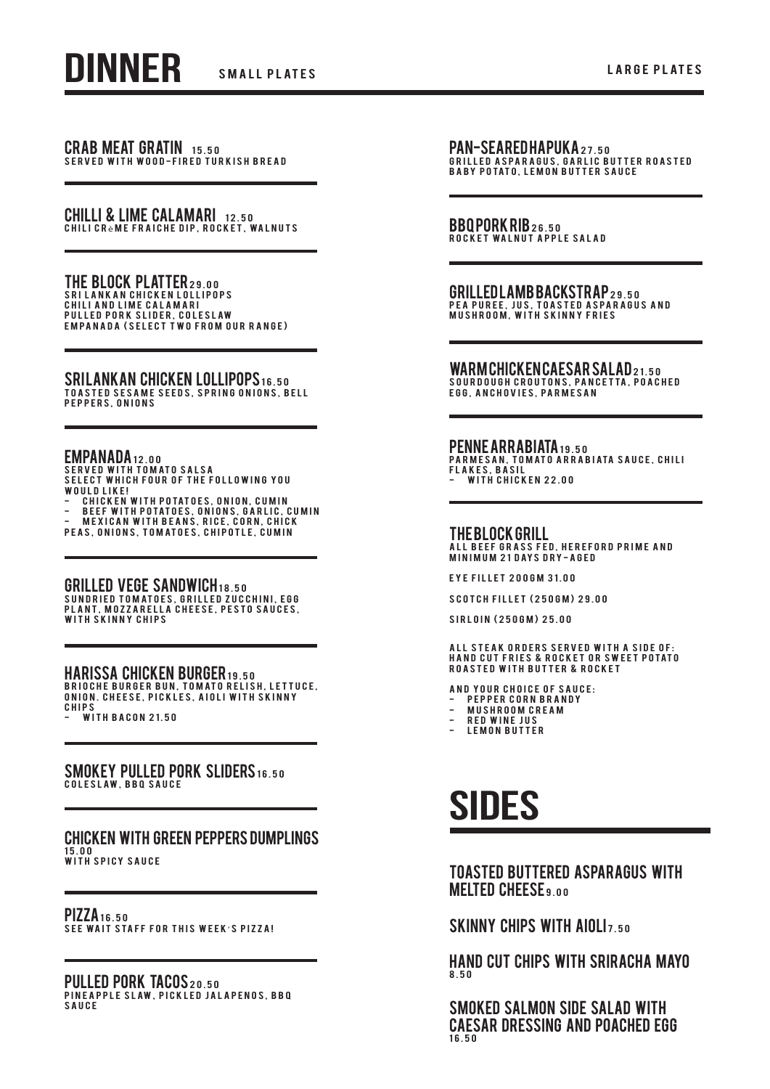CRAB MEAT GRATIN 15.50 SERVED WITH WOOD-FIRED TURKISH BREAD

CHILLI & LIME CALAMARI 12.50 CHILI CR<sub>è</sub>me fraiche dip, rocket, walnuts

THE BLOCK PLATTER29.00 Sri Lankan chicken lollipops Chili and lime calamari P U L L E D P O R K S L I D E R , C O L E S L A W EMPANADA (SELECT TWO FROM OUR RANGE)

SRILANKAN CHICKEN LOLLIPOPS 16.50<br>Toasted sesame seeds, spring onions, bell PEPPERS, ONIONS

## EMPANADA 12.00

SERVED WITH TOMATO SALSA<br>SELECT WHICH FOUR OF THE FOLLOWING YOU WOULD LIKE!

- C H I C K E N W IT H P O TATOES, ON ION, C U M I N<br>- B E E F W IT H P O TATOES, ON IONS, G A R L I C, C U M I N<br>- M E X I C A N W IT H B E A N S, R I C E , C O R N , C H I C K

PEAS, ONIONS, TOMATOES, CHIPOTLE, CUMIN

GRILLED VEGE SANDWICH18.50

SUNDRIED TOMATOES, GRILLED ZUCCHINI, EGG plant, mozzarella cheese, pesto sauces, with skinny chips

#### Harissa Chicken Burger 19.50

BRIOCHE BURGER BUN, TOMATO RELISH, LETTUCE, onion. cheese, pickles, aioli with skinny chips **WITH BACON 21.50** 

#### SMOKEY PULLED PORK SLIDERS 16.50

COLESLAW, BBQ SAUCE

# Chicken with Green Peppers Dumplings

15.00<br>With Spicy Sauce

PIZZA 16.50 S e e wa i t s ta f f f o r t h i s w e e k ' s pizza!

PULLED PORK TACOS 20.50 P IN EAPPLE SLAW, PICKLED JALAPENOS, BBQ sauce

PAN-SEARED HAPUKA27.50 GRILLED ASPARAGUS, GARLIC BUTTER ROASTED<br>BABY POTATO, LEMON BUTTER SAUCE

BBQPORKRIB26.50 ROCKET WALNUT APPLE SALAD

GRILLED LAMB BACKSTRAP 29.50 PEA PUREE, JUS, TOASTED ASPARAGUS AND<br>MUSHROOM, WITH SKINNY FRIES

WARM CHICKEN CAESAR SALAD 21.50

S OUR DOUGH CROUTONS, PANCETTA, POACHED e gon booding wood ong, in the search of the search of the search of the search of the search of the search of the search of the search of the search of the search of the search of the search of the search of the search of

# PENNE ARRABIATA 19.50

PARMESAN, TOMATO ARRABIATA SAUCE, CHILI FLAKES, BASIL<br>- With Chicken 22.00

## THE BLOCK GRILL

ALL BEEF GRASS FED, HEREFORD PRIME AND M IN I M U M 21 DAYS DRY - A GED

Eye Fillet 200gm 31.00

Scotch Fillet (250gm) 29.00

Sirloin (250gm) 25.00

ALL STEAK ORDERS SERVED WITH A SIDE OF: HAND CUT FRIES & ROCKET OR SWEET POTATO<br>ROASTED WITH BUTTER & ROCKET

AND YOUR CHOICE OF SAUCE:

- PEPPER CORN BRANDY - mushroom cream
- red wine jus
- LEMON BUTTER

# **SIDES**

# Toasted buttered asparagus with **MELTED CHEESE 9.00**

SKINNY CHIPS WITH AIOLI<sub>7.50</sub>

Hand cut chips with sriracha mayo 8.50

Smoked salmon side salad with Caesar dressing and poached egg 16.50